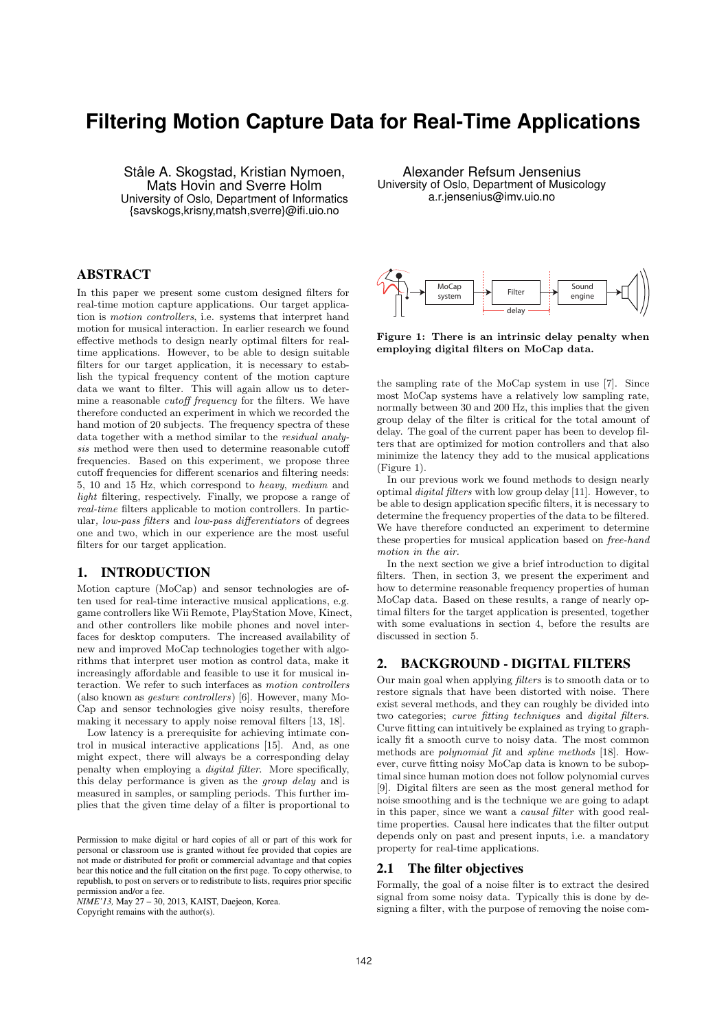# **Filtering Motion Capture Data for Real-Time Applications**

Ståle A. Skogstad, Kristian Nymoen, Mats Hovin and Sverre Holm University of Oslo, Department of Informatics {savskogs,krisny,matsh,sverre}@ifi.uio.no

# ABSTRACT

In this paper we present some custom designed filters for real-time motion capture applications. Our target application is *motion controllers*, i.e. systems that interpret hand motion for musical interaction. In earlier research we found effective methods to design nearly optimal filters for realtime applications. However, to be able to design suitable filters for our target application, it is necessary to establish the typical frequency content of the motion capture data we want to filter. This will again allow us to determine a reasonable *cutoff frequency* for the filters. We have therefore conducted an experiment in which we recorded the hand motion of 20 subjects. The frequency spectra of these data together with a method similar to the *residual analy* $sis$  method were then used to determine reasonable cutoff frequencies. Based on this experiment, we propose three cutoff frequencies for different scenarios and filtering needs: 5, 10 and 15 Hz, which correspond to *heavy*, *medium* and *light* filtering, respectively. Finally, we propose a range of *real-time* filters applicable to motion controllers. In particular, *low-pass filters* and *low-pass differentiators* of degrees one and two, which in our experience are the most useful filters for our target application.

# 1. INTRODUCTION

Motion capture (MoCap) and sensor technologies are often used for real-time interactive musical applications, e.g. game controllers like Wii Remote, PlayStation Move, Kinect, and other controllers like mobile phones and novel interfaces for desktop computers. The increased availability of new and improved MoCap technologies together with algorithms that interpret user motion as control data, make it increasingly affordable and feasible to use it for musical interaction. We refer to such interfaces as *motion controllers* (also known as *gesture controllers*) [6]. However, many Mo-Cap and sensor technologies give noisy results, therefore making it necessary to apply noise removal filters [13, 18].

Low latency is a prerequisite for achieving intimate control in musical interactive applications [15]. And, as one might expect, there will always be a corresponding delay penalty when employing a *digital filter*. More specifically, this delay performance is given as the *group delay* and is measured in samples, or sampling periods. This further implies that the given time delay of a filter is proportional to

*NIME'13,* May 27 – 30, 2013, KAIST, Daejeon, Korea.

Copyright remains with the author(s).

Alexander Refsum Jensenius University of Oslo, Department of Musicology a.r.jensenius@imv.uio.no



Figure 1: There is an intrinsic delay penalty when employing digital filters on MoCap data.

the sampling rate of the MoCap system in use [7]. Since most MoCap systems have a relatively low sampling rate, normally between 30 and 200 Hz, this implies that the given group delay of the filter is critical for the total amount of delay. The goal of the current paper has been to develop filters that are optimized for motion controllers and that also minimize the latency they add to the musical applications (Figure 1).

In our previous work we found methods to design nearly optimal *digital filters* with low group delay [11]. However, to be able to design application specific filters, it is necessary to determine the frequency properties of the data to be filtered. We have therefore conducted an experiment to determine these properties for musical application based on *free-hand motion in the air.*

In the next section we give a brief introduction to digital filters. Then, in section 3, we present the experiment and how to determine reasonable frequency properties of human MoCap data. Based on these results, a range of nearly optimal filters for the target application is presented, together with some evaluations in section 4, before the results are discussed in section 5.

# 2. BACKGROUND - DIGITAL FILTERS

Our main goal when applying *filters* is to smooth data or to restore signals that have been distorted with noise. There exist several methods, and they can roughly be divided into two categories; *curve fitting techniques* and *digital filters*. Curve fitting can intuitively be explained as trying to graphically fit a smooth curve to noisy data. The most common methods are *polynomial fit* and *spline methods* [18]. However, curve fitting noisy MoCap data is known to be suboptimal since human motion does not follow polynomial curves [9]. Digital filters are seen as the most general method for noise smoothing and is the technique we are going to adapt in this paper, since we want a *causal filter* with good realtime properties. Causal here indicates that the filter output depends only on past and present inputs, i.e. a mandatory property for real-time applications.

## 2.1 The filter objectives

Formally, the goal of a noise filter is to extract the desired signal from some noisy data. Typically this is done by designing a filter, with the purpose of removing the noise com-

Permission to make digital or hard copies of all or part of this work for personal or classroom use is granted without fee provided that copies are not made or distributed for profit or commercial advantage and that copies bear this notice and the full citation on the first page. To copy otherwise, to republish, to post on servers or to redistribute to lists, requires prior specific permission and/or a fee.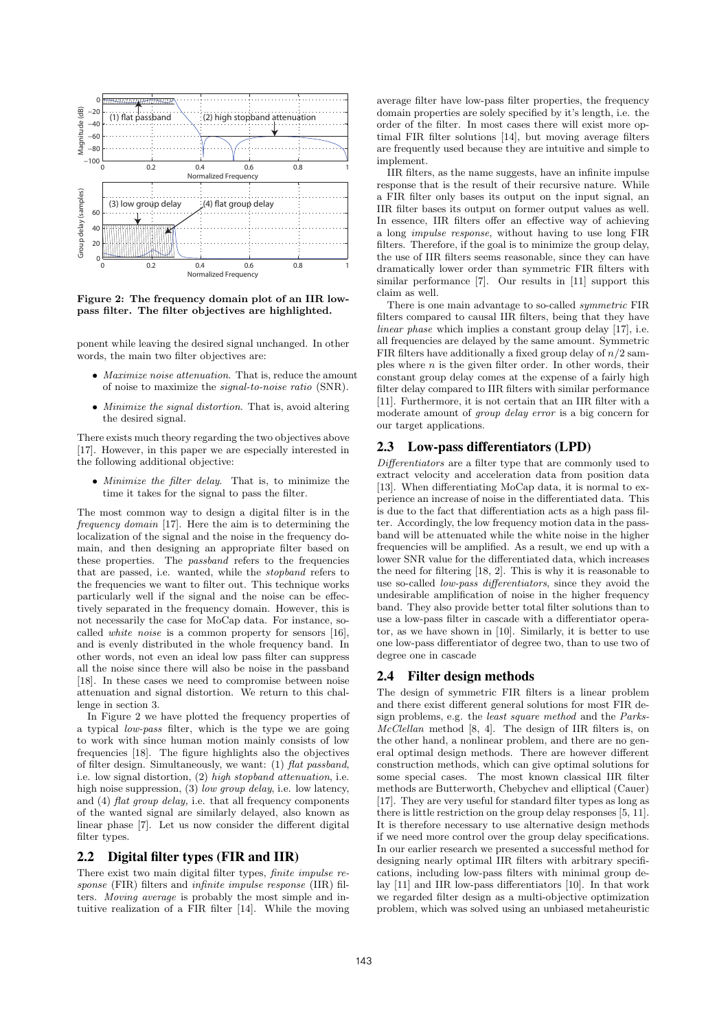

Figure 2: The frequency domain plot of an IIR lowpass filter. The filter objectives are highlighted.

ponent while leaving the desired signal unchanged. In other words, the main two filter objectives are:

- *• Maximize noise attenuation*. That is, reduce the amount of noise to maximize the *signal-to-noise ratio* (SNR).
- *• Minimize the signal distortion*. That is, avoid altering the desired signal.

There exists much theory regarding the two objectives above [17]. However, in this paper we are especially interested in the following additional objective:

*• Minimize the filter delay*. That is, to minimize the time it takes for the signal to pass the filter.

The most common way to design a digital filter is in the *frequency domain* [17]. Here the aim is to determining the localization of the signal and the noise in the frequency domain, and then designing an appropriate filter based on these properties. The *passband* refers to the frequencies that are passed, i.e. wanted, while the *stopband* refers to the frequencies we want to filter out. This technique works particularly well if the signal and the noise can be effectively separated in the frequency domain. However, this is not necessarily the case for MoCap data. For instance, socalled *white noise* is a common property for sensors [16], and is evenly distributed in the whole frequency band. In other words, not even an ideal low pass filter can suppress all the noise since there will also be noise in the passband [18]. In these cases we need to compromise between noise attenuation and signal distortion. We return to this challenge in section 3.

In Figure 2 we have plotted the frequency properties of a typical *low-pass* filter, which is the type we are going to work with since human motion mainly consists of low frequencies [18]. The figure highlights also the objectives of filter design. Simultaneously, we want: (1) *flat passband*, i.e. low signal distortion, (2) *high stopband attenuation*, i.e. high noise suppression, (3) *low group delay*, i.e. low latency, and (4) *flat group delay,* i.e. that all frequency components of the wanted signal are similarly delayed, also known as linear phase  $[7]$ . Let us now consider the different digital filter types.

# 2.2 Digital filter types (FIR and IIR)

There exist two main digital filter types, *finite impulse response* (FIR) filters and *infinite impulse response* (IIR) filters. *Moving average* is probably the most simple and intuitive realization of a FIR filter [14]. While the moving average filter have low-pass filter properties, the frequency domain properties are solely specified by it's length, i.e. the order of the filter. In most cases there will exist more optimal FIR filter solutions [14], but moving average filters are frequently used because they are intuitive and simple to implement.

IIR filters, as the name suggests, have an infinite impulse response that is the result of their recursive nature. While a FIR filter only bases its output on the input signal, an IIR filter bases its output on former output values as well. In essence, IIR filters offer an effective way of achieving a long *impulse response*, without having to use long FIR filters. Therefore, if the goal is to minimize the group delay, the use of IIR filters seems reasonable, since they can have dramatically lower order than symmetric FIR filters with similar performance [7]. Our results in [11] support this claim as well.

There is one main advantage to so-called *symmetric* FIR filters compared to causal IIR filters, being that they have *linear phase* which implies a constant group delay [17], i.e. all frequencies are delayed by the same amount. Symmetric FIR filters have additionally a fixed group delay of *n/*2 samples where *n* is the given filter order. In other words, their constant group delay comes at the expense of a fairly high filter delay compared to IIR filters with similar performance [11]. Furthermore, it is not certain that an IIR filter with a moderate amount of *group delay error* is a big concern for our target applications.

## 2.3 Low-pass differentiators (LPD)

*Differentiators* are a filter type that are commonly used to extract velocity and acceleration data from position data [13]. When differentiating MoCap data, it is normal to experience an increase of noise in the differentiated data. This is due to the fact that differentiation acts as a high pass filter. Accordingly, the low frequency motion data in the passband will be attenuated while the white noise in the higher frequencies will be amplified. As a result, we end up with a lower SNR value for the differentiated data, which increases the need for filtering [18, 2]. This is why it is reasonable to use so-called *low-pass differentiators*, since they avoid the undesirable amplification of noise in the higher frequency band. They also provide better total filter solutions than to use a low-pass filter in cascade with a differentiator operator, as we have shown in [10]. Similarly, it is better to use one low-pass differentiator of degree two, than to use two of degree one in cascade

## 2.4 Filter design methods

The design of symmetric FIR filters is a linear problem and there exist different general solutions for most FIR design problems, e.g. the *least square method* and the *Parks-McClellan* method [8, 4]. The design of IIR filters is, on the other hand, a nonlinear problem, and there are no general optimal design methods. There are however different construction methods, which can give optimal solutions for some special cases. The most known classical IIR filter methods are Butterworth, Chebychev and elliptical (Cauer) [17]. They are very useful for standard filter types as long as there is little restriction on the group delay responses [5, 11]. It is therefore necessary to use alternative design methods if we need more control over the group delay specifications. In our earlier research we presented a successful method for designing nearly optimal IIR filters with arbitrary specifications, including low-pass filters with minimal group delay  $[11]$  and IIR low-pass differentiators  $[10]$ . In that work we regarded filter design as a multi-objective optimization problem, which was solved using an unbiased metaheuristic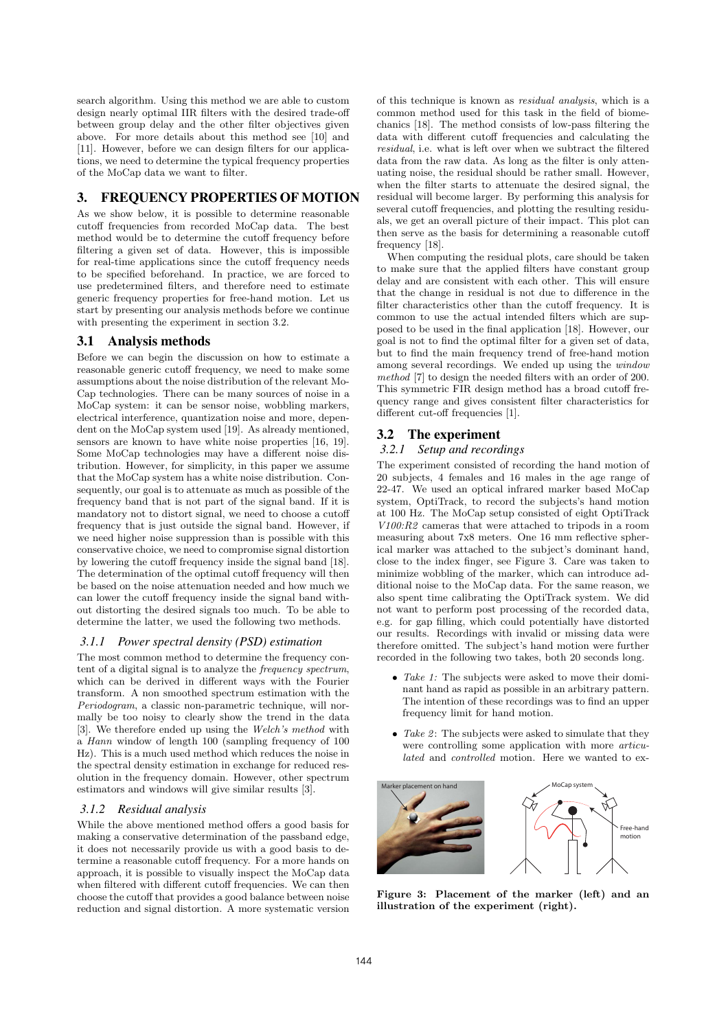search algorithm. Using this method we are able to custom design nearly optimal IIR filters with the desired trade-off between group delay and the other filter objectives given above. For more details about this method see [10] and [11]. However, before we can design filters for our applications, we need to determine the typical frequency properties of the MoCap data we want to filter.

# 3. FREQUENCY PROPERTIES OF MOTION

As we show below, it is possible to determine reasonable cutoff frequencies from recorded MoCap data. The best method would be to determine the cutoff frequency before filtering a given set of data. However, this is impossible for real-time applications since the cutoff frequency needs to be specified beforehand. In practice, we are forced to use predetermined filters, and therefore need to estimate generic frequency properties for free-hand motion. Let us start by presenting our analysis methods before we continue with presenting the experiment in section 3.2.

#### 3.1 Analysis methods

Before we can begin the discussion on how to estimate a reasonable generic cutoff frequency, we need to make some assumptions about the noise distribution of the relevant Mo-Cap technologies. There can be many sources of noise in a MoCap system: it can be sensor noise, wobbling markers, electrical interference, quantization noise and more, dependent on the MoCap system used [19]. As already mentioned, sensors are known to have white noise properties [16, 19]. Some MoCap technologies may have a different noise distribution. However, for simplicity, in this paper we assume that the MoCap system has a white noise distribution. Consequently, our goal is to attenuate as much as possible of the frequency band that is not part of the signal band. If it is mandatory not to distort signal, we need to choose a cutoff frequency that is just outside the signal band. However, if we need higher noise suppression than is possible with this conservative choice, we need to compromise signal distortion by lowering the cutoff frequency inside the signal band [18]. The determination of the optimal cutoff frequency will then be based on the noise attenuation needed and how much we can lower the cutoff frequency inside the signal band without distorting the desired signals too much. To be able to determine the latter, we used the following two methods.

#### *3.1.1 Power spectral density (PSD) estimation*

The most common method to determine the frequency content of a digital signal is to analyze the *frequency spectrum*, which can be derived in different ways with the Fourier transform. A non smoothed spectrum estimation with the *Periodogram*, a classic non-parametric technique, will normally be too noisy to clearly show the trend in the data [3]. We therefore ended up using the *Welch's method* with a *Hann* window of length 100 (sampling frequency of 100 Hz). This is a much used method which reduces the noise in the spectral density estimation in exchange for reduced resolution in the frequency domain. However, other spectrum estimators and windows will give similar results [3].

#### *3.1.2 Residual analysis*

While the above mentioned method offers a good basis for making a conservative determination of the passband edge, it does not necessarily provide us with a good basis to determine a reasonable cutoff frequency. For a more hands on approach, it is possible to visually inspect the MoCap data when filtered with different cutoff frequencies. We can then choose the cutoff that provides a good balance between noise reduction and signal distortion. A more systematic version

of this technique is known as *residual analysis*, which is a common method used for this task in the field of biomechanics [18]. The method consists of low-pass filtering the data with different cutoff frequencies and calculating the *residual*, i.e. what is left over when we subtract the filtered data from the raw data. As long as the filter is only attenuating noise, the residual should be rather small. However, when the filter starts to attenuate the desired signal, the residual will become larger. By performing this analysis for several cutoff frequencies, and plotting the resulting residuals, we get an overall picture of their impact. This plot can then serve as the basis for determining a reasonable cutoff frequency [18].

When computing the residual plots, care should be taken to make sure that the applied filters have constant group delay and are consistent with each other. This will ensure that the change in residual is not due to difference in the filter characteristics other than the cutoff frequency. It is common to use the actual intended filters which are supposed to be used in the final application [18]. However, our goal is not to find the optimal filter for a given set of data, but to find the main frequency trend of free-hand motion among several recordings. We ended up using the *window method* [7] to design the needed filters with an order of 200. This symmetric FIR design method has a broad cutoff frequency range and gives consistent filter characteristics for different cut-off frequencies [1].

## 3.2 The experiment

#### *3.2.1 Setup and recordings*

The experiment consisted of recording the hand motion of 20 subjects, 4 females and 16 males in the age range of 22-47. We used an optical infrared marker based MoCap system, OptiTrack, to record the subjects's hand motion at 100 Hz. The MoCap setup consisted of eight OptiTrack *V100:R2* cameras that were attached to tripods in a room measuring about 7x8 meters. One 16 mm reflective spherical marker was attached to the subject's dominant hand, close to the index finger, see Figure 3. Care was taken to minimize wobbling of the marker, which can introduce additional noise to the MoCap data. For the same reason, we also spent time calibrating the OptiTrack system. We did not want to perform post processing of the recorded data, e.g. for gap filling, which could potentially have distorted our results. Recordings with invalid or missing data were therefore omitted. The subject's hand motion were further recorded in the following two takes, both 20 seconds long.

- *• Take 1:* The subjects were asked to move their dominant hand as rapid as possible in an arbitrary pattern. The intention of these recordings was to find an upper frequency limit for hand motion.
- *Take 2*: The subjects were asked to simulate that they were controlling some application with more *articulated* and *controlled* motion. Here we wanted to ex-



Figure 3: Placement of the marker (left) and an illustration of the experiment (right).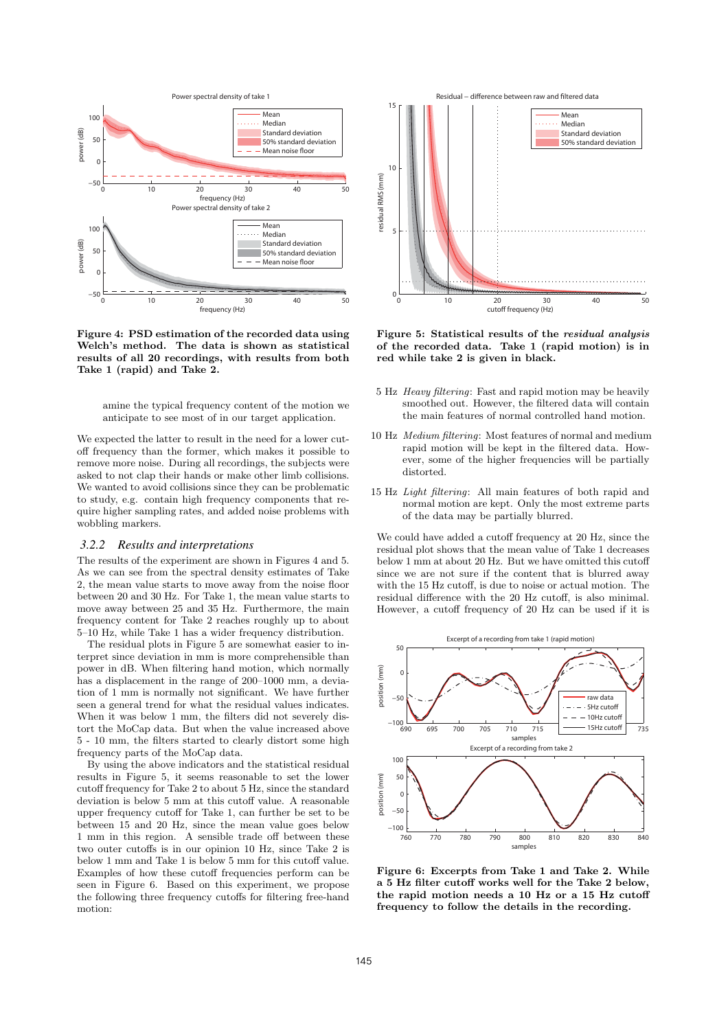

Figure 4: PSD estimation of the recorded data using Welch's method. The data is shown as statistical results of all 20 recordings, with results from both Take 1 (rapid) and Take 2.

amine the typical frequency content of the motion we anticipate to see most of in our target application.

We expected the latter to result in the need for a lower cutoff frequency than the former, which makes it possible to remove more noise. During all recordings, the subjects were asked to not clap their hands or make other limb collisions. We wanted to avoid collisions since they can be problematic to study, e.g. contain high frequency components that require higher sampling rates, and added noise problems with wobbling markers.

#### *3.2.2 Results and interpretations*

The results of the experiment are shown in Figures 4 and 5. As we can see from the spectral density estimates of Take 2, the mean value starts to move away from the noise floor between 20 and 30 Hz. For Take 1, the mean value starts to move away between 25 and 35 Hz. Furthermore, the main frequency content for Take 2 reaches roughly up to about 5–10 Hz, while Take 1 has a wider frequency distribution.

The residual plots in Figure 5 are somewhat easier to interpret since deviation in mm is more comprehensible than power in dB. When filtering hand motion, which normally has a displacement in the range of  $200-1000$  mm, a deviation of 1 mm is normally not significant. We have further seen a general trend for what the residual values indicates. When it was below 1 mm, the filters did not severely distort the MoCap data. But when the value increased above 5 - 10 mm, the filters started to clearly distort some high frequency parts of the MoCap data.

By using the above indicators and the statistical residual results in Figure 5, it seems reasonable to set the lower cutoff frequency for Take 2 to about 5 Hz, since the standard deviation is below  $5 \text{ mm}$  at this cutoff value. A reasonable upper frequency cutoff for Take 1, can further be set to be between 15 and 20 Hz, since the mean value goes below 1 mm in this region. A sensible trade off between these two outer cutoffs is in our opinion 10 Hz, since Take 2 is below 1 mm and Take 1 is below 5 mm for this cutoff value. Examples of how these cutoff frequencies perform can be seen in Figure 6. Based on this experiment, we propose the following three frequency cutoffs for filtering free-hand motion:



Figure 5: Statistical results of the *residual analysis* of the recorded data. Take 1 (rapid motion) is in red while take 2 is given in black.

- 5 Hz *Heavy filtering*: Fast and rapid motion may be heavily smoothed out. However, the filtered data will contain the main features of normal controlled hand motion.
- 10 Hz *Medium filtering*: Most features of normal and medium rapid motion will be kept in the filtered data. However, some of the higher frequencies will be partially distorted.
- 15 Hz *Light filtering*: All main features of both rapid and normal motion are kept. Only the most extreme parts of the data may be partially blurred.

We could have added a cutoff frequency at 20 Hz, since the residual plot shows that the mean value of Take 1 decreases below 1 mm at about 20 Hz. But we have omitted this cutoff since we are not sure if the content that is blurred away with the 15 Hz cutoff, is due to noise or actual motion. The residual difference with the 20 Hz cutoff, is also minimal. However, a cutoff frequency of 20 Hz can be used if it is



Figure 6: Excerpts from Take 1 and Take 2. While a 5 Hz filter cutoff works well for the Take 2 below. the rapid motion needs a  $10$  Hz or a  $15$  Hz cutoff frequency to follow the details in the recording.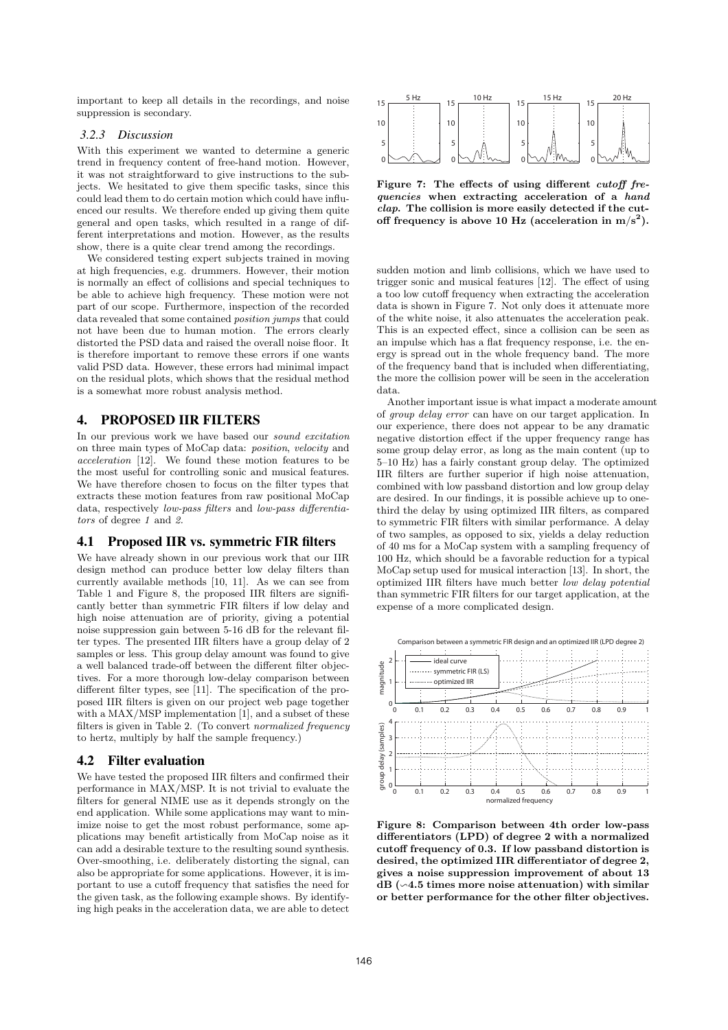important to keep all details in the recordings, and noise suppression is secondary.

#### *3.2.3 Discussion*

With this experiment we wanted to determine a generic trend in frequency content of free-hand motion. However, it was not straightforward to give instructions to the subjects. We hesitated to give them specific tasks, since this could lead them to do certain motion which could have influenced our results. We therefore ended up giving them quite general and open tasks, which resulted in a range of different interpretations and motion. However, as the results show, there is a quite clear trend among the recordings.

We considered testing expert subjects trained in moving at high frequencies, e.g. drummers. However, their motion is normally an effect of collisions and special techniques to be able to achieve high frequency. These motion were not part of our scope. Furthermore, inspection of the recorded data revealed that some contained *position jumps* that could not have been due to human motion. The errors clearly distorted the PSD data and raised the overall noise floor. It is therefore important to remove these errors if one wants valid PSD data. However, these errors had minimal impact on the residual plots, which shows that the residual method is a somewhat more robust analysis method.

# 4. PROPOSED IIR FILTERS

In our previous work we have based our *sound excitation* on three main types of MoCap data: *position*, *velocity* and *acceleration* [12]. We found these motion features to be the most useful for controlling sonic and musical features. We have therefore chosen to focus on the filter types that extracts these motion features from raw positional MoCap data, respectively *low-pass filters* and *low-pass differentiators* of degree *1* and *2.*

#### 4.1 Proposed IIR vs. symmetric FIR filters

We have already shown in our previous work that our IIR design method can produce better low delay filters than currently available methods [10, 11]. As we can see from Table 1 and Figure 8, the proposed IIR filters are significantly better than symmetric FIR filters if low delay and high noise attenuation are of priority, giving a potential noise suppression gain between 5-16 dB for the relevant filter types. The presented IIR filters have a group delay of 2 samples or less. This group delay amount was found to give a well balanced trade-off between the different filter objectives. For a more thorough low-delay comparison between different filter types, see [11]. The specification of the proposed IIR filters is given on our project web page together with a  $MAX/MSP$  implementation  $[1]$ , and a subset of these filters is given in Table 2. (To convert *normalized frequency* to hertz, multiply by half the sample frequency.)

#### 4.2 Filter evaluation

We have tested the proposed IIR filters and confirmed their performance in MAX/MSP. It is not trivial to evaluate the filters for general NIME use as it depends strongly on the end application. While some applications may want to minimize noise to get the most robust performance, some applications may benefit artistically from MoCap noise as it can add a desirable texture to the resulting sound synthesis. Over-smoothing, i.e. deliberately distorting the signal, can also be appropriate for some applications. However, it is important to use a cutoff frequency that satisfies the need for the given task, as the following example shows. By identifying high peaks in the acceleration data, we are able to detect



Figure 7: The effects of using different *cutoff frequencies* when extracting acceleration of a *hand clap*. The collision is more easily detected if the cutoff frequency is above 10 Hz (acceleration in  $m/s^2$ ).

sudden motion and limb collisions, which we have used to trigger sonic and musical features  $[12]$ . The effect of using a too low cutoff frequency when extracting the acceleration data is shown in Figure 7. Not only does it attenuate more of the white noise, it also attenuates the acceleration peak. This is an expected effect, since a collision can be seen as an impulse which has a flat frequency response, i.e. the energy is spread out in the whole frequency band. The more of the frequency band that is included when differentiating, the more the collision power will be seen in the acceleration data.

Another important issue is what impact a moderate amount of *group delay error* can have on our target application. In our experience, there does not appear to be any dramatic negative distortion effect if the upper frequency range has some group delay error, as long as the main content (up to 5–10 Hz) has a fairly constant group delay. The optimized IIR filters are further superior if high noise attenuation, combined with low passband distortion and low group delay are desired. In our findings, it is possible achieve up to onethird the delay by using optimized IIR filters, as compared to symmetric FIR filters with similar performance. A delay of two samples, as opposed to six, yields a delay reduction of 40 ms for a MoCap system with a sampling frequency of 100 Hz, which should be a favorable reduction for a typical MoCap setup used for musical interaction [13]. In short, the optimized IIR filters have much better *low delay potential* than symmetric FIR filters for our target application, at the expense of a more complicated design.



Figure 8: Comparison between 4th order low-pass differentiators (LPD) of degree 2 with a normalized cutoff frequency of  $0.3$ . If low passband distortion is desired, the optimized IIR differentiator of degree 2, gives a noise suppression improvement of about 13  $dB$  ( $\sim$ 4.5 times more noise attenuation) with similar or better performance for the other filter objectives.